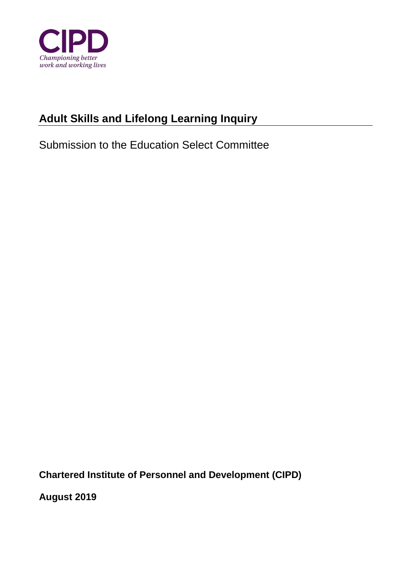

# **Adult Skills and Lifelong Learning Inquiry**

Submission to the Education Select Committee

**Chartered Institute of Personnel and Development (CIPD)** 

**August 2019**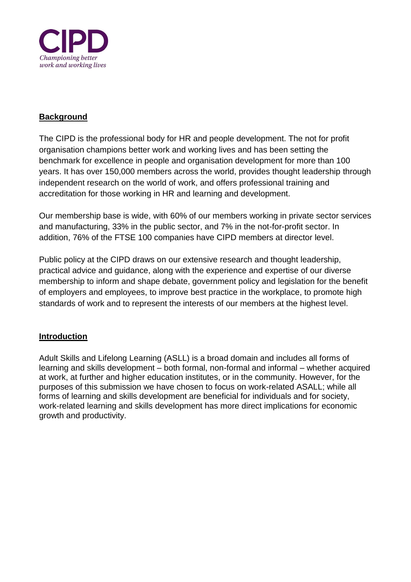

## **Background**

The CIPD is the professional body for HR and people development. The not for profit organisation champions better work and working lives and has been setting the benchmark for excellence in people and organisation development for more than 100 years. It has over 150,000 members across the world, provides thought leadership through independent research on the world of work, and offers professional training and accreditation for those working in HR and learning and development.

Our membership base is wide, with 60% of our members working in private sector services and manufacturing, 33% in the public sector, and 7% in the not-for-profit sector. In addition, 76% of the FTSE 100 companies have CIPD members at director level.

Public policy at the CIPD draws on our extensive research and thought leadership, practical advice and guidance, along with the experience and expertise of our diverse membership to inform and shape debate, government policy and legislation for the benefit of employers and employees, to improve best practice in the workplace, to promote high standards of work and to represent the interests of our members at the highest level.

## **Introduction**

Adult Skills and Lifelong Learning (ASLL) is a broad domain and includes all forms of learning and skills development – both formal, non-formal and informal – whether acquired at work, at further and higher education institutes, or in the community. However, for the purposes of this submission we have chosen to focus on work-related ASALL; while all forms of learning and skills development are beneficial for individuals and for society, work-related learning and skills development has more direct implications for economic growth and productivity.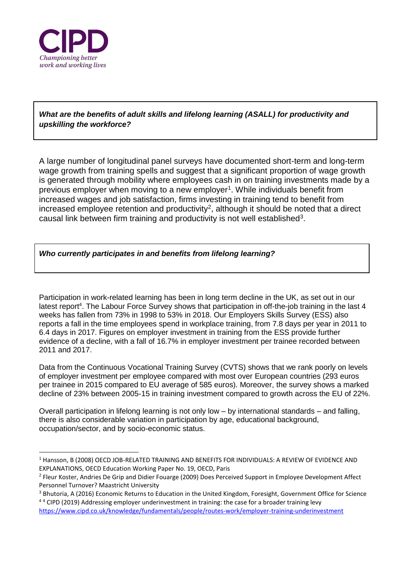

-

*What are the benefits of adult skills and lifelong learning (ASALL) for productivity and upskilling the workforce?*

A large number of longitudinal panel surveys have documented short-term and long-term wage growth from training spells and suggest that a significant proportion of wage growth is generated through mobility where employees cash in on training investments made by a previous employer when moving to a new employer<sup>1</sup>. While individuals benefit from increased wages and job satisfaction, firms investing in training tend to benefit from increased employee retention and productivity<sup>2</sup>, although it should be noted that a direct causal link between firm training and productivity is not well established<sup>3</sup>.

#### *Who currently participates in and benefits from lifelong learning?*

Participation in work-related learning has been in long term decline in the UK, as set out in our latest report<sup>4</sup>. The Labour Force Survey shows that participation in off-the-job training in the last 4 weeks has fallen from 73% in 1998 to 53% in 2018. Our Employers Skills Survey (ESS) also reports a fall in the time employees spend in workplace training, from 7.8 days per year in 2011 to 6.4 days in 2017. Figures on employer investment in training from the ESS provide further evidence of a decline, with a fall of 16.7% in employer investment per trainee recorded between 2011 and 2017.

Data from the Continuous Vocational Training Survey (CVTS) shows that we rank poorly on levels of employer investment per employee compared with most over European countries (293 euros per trainee in 2015 compared to EU average of 585 euros). Moreover, the survey shows a marked decline of 23% between 2005-15 in training investment compared to growth across the EU of 22%.

Overall participation in lifelong learning is not only low – by international standards – and falling, there is also considerable variation in participation by age, educational background, occupation/sector, and by socio-economic status.

<sup>1</sup> Hansson, B (2008) OECD JOB-RELATED TRAINING AND BENEFITS FOR INDIVIDUALS: A REVIEW OF EVIDENCE AND EXPLANATIONS, OECD Education Working Paper No. 19, OECD, Paris

<sup>2</sup> Fleur Koster, Andries De Grip and Didier Fouarge (2009) Does Perceived Support in Employee Development Affect Personnel Turnover? Maastricht University

<sup>&</sup>lt;sup>3</sup> Bhutoria, A (2016) Economic Returns to Education in the United Kingdom, Foresight, Government Office for Science <sup>4</sup> <sup>4</sup> CIPD (2019) Addressing employer underinvestment in training: the case for a broader training levy

<https://www.cipd.co.uk/knowledge/fundamentals/people/routes-work/employer-training-underinvestment>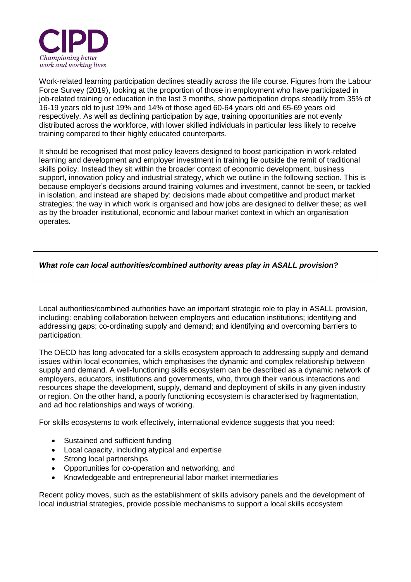

Work-related learning participation declines steadily across the life course. Figures from the Labour Force Survey (2019), looking at the proportion of those in employment who have participated in job-related training or education in the last 3 months, show participation drops steadily from 35% of 16-19 years old to just 19% and 14% of those aged 60-64 years old and 65-69 years old respectively. As well as declining participation by age, training opportunities are not evenly distributed across the workforce, with lower skilled individuals in particular less likely to receive training compared to their highly educated counterparts.

It should be recognised that most policy leavers designed to boost participation in work-related learning and development and employer investment in training lie outside the remit of traditional skills policy. Instead they sit within the broader context of economic development, business support, innovation policy and industrial strategy, which we outline in the following section. This is because employer's decisions around training volumes and investment, cannot be seen, or tackled in isolation, and instead are shaped by: decisions made about competitive and product market strategies; the way in which work is organised and how jobs are designed to deliver these; as well as by the broader institutional, economic and labour market context in which an organisation operates.

### *What role can local authorities/combined authority areas play in ASALL provision?*

Local authorities/combined authorities have an important strategic role to play in ASALL provision, including: enabling collaboration between employers and education institutions; identifying and addressing gaps; co-ordinating supply and demand; and identifying and overcoming barriers to participation.

The OECD has long advocated for a skills ecosystem approach to addressing supply and demand issues within local economies, which emphasises the dynamic and complex relationship between supply and demand. A well-functioning skills ecosystem can be described as a dynamic network of employers, educators, institutions and governments, who, through their various interactions and resources shape the development, supply, demand and deployment of skills in any given industry or region. On the other hand, a poorly functioning ecosystem is characterised by fragmentation, and ad hoc relationships and ways of working.

For skills ecosystems to work effectively, international evidence suggests that you need:

- Sustained and sufficient funding
- Local capacity, including atypical and expertise
- Strong local partnerships
- Opportunities for co-operation and networking, and
- Knowledgeable and entrepreneurial labor market intermediaries

Recent policy moves, such as the establishment of skills advisory panels and the development of local industrial strategies, provide possible mechanisms to support a local skills ecosystem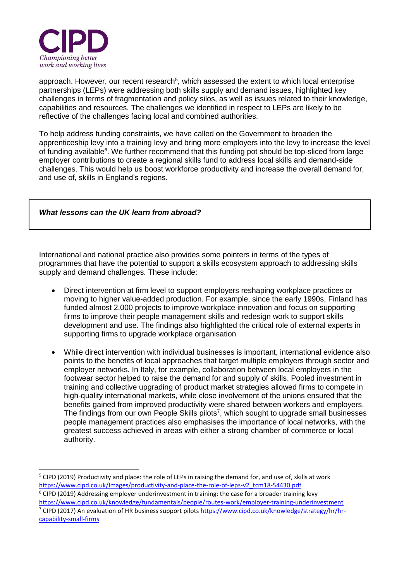

-

approach. However, our recent research<sup>5</sup>, which assessed the extent to which local enterprise partnerships (LEPs) were addressing both skills supply and demand issues, highlighted key challenges in terms of fragmentation and policy silos, as well as issues related to their knowledge, capabilities and resources. The challenges we identified in respect to LEPs are likely to be reflective of the challenges facing local and combined authorities.

To help address funding constraints, we have called on the Government to broaden the apprenticeship levy into a training levy and bring more employers into the levy to increase the level of funding available<sup>6</sup>. We further recommend that this funding pot should be top-sliced from large employer contributions to create a regional skills fund to address local skills and demand-side challenges. This would help us boost workforce productivity and increase the overall demand for, and use of, skills in England's regions.

#### *What lessons can the UK learn from abroad?*

International and national practice also provides some pointers in terms of the types of programmes that have the potential to support a skills ecosystem approach to addressing skills supply and demand challenges. These include:

- Direct intervention at firm level to support employers reshaping workplace practices or moving to higher value-added production. For example, since the early 1990s, Finland has funded almost 2,000 projects to improve workplace innovation and focus on supporting firms to improve their people management skills and redesign work to support skills development and use. The findings also highlighted the critical role of external experts in supporting firms to upgrade workplace organisation
- While direct intervention with individual businesses is important, international evidence also points to the benefits of local approaches that target multiple employers through sector and employer networks. In Italy, for example, collaboration between local employers in the footwear sector helped to raise the demand for and supply of skills. Pooled investment in training and collective upgrading of product market strategies allowed firms to compete in high-quality international markets, while close involvement of the unions ensured that the benefits gained from improved productivity were shared between workers and employers. The findings from our own People Skills pilots<sup>7</sup>, which sought to upgrade small businesses people management practices also emphasises the importance of local networks, with the greatest success achieved in areas with either a strong chamber of commerce or local authority.

[capability-small-firms](https://www.cipd.co.uk/knowledge/strategy/hr/hr-capability-small-firms)

<sup>&</sup>lt;sup>5</sup> CIPD (2019) Productivity and place: the role of LEPs in raising the demand for, and use of, skills at work [https://www.cipd.co.uk/Images/productivity-and-place-the-role-of-leps-v2\\_tcm18-54430.pdf](https://www.cipd.co.uk/Images/productivity-and-place-the-role-of-leps-v2_tcm18-54430.pdf)

 $6$  CIPD (2019) Addressing employer underinvestment in training: the case for a broader training levy <https://www.cipd.co.uk/knowledge/fundamentals/people/routes-work/employer-training-underinvestment> <sup>7</sup> CIPD (2017) An evaluation of HR business support pilots [https://www.cipd.co.uk/knowledge/strategy/hr/hr-](https://www.cipd.co.uk/knowledge/strategy/hr/hr-capability-small-firms)